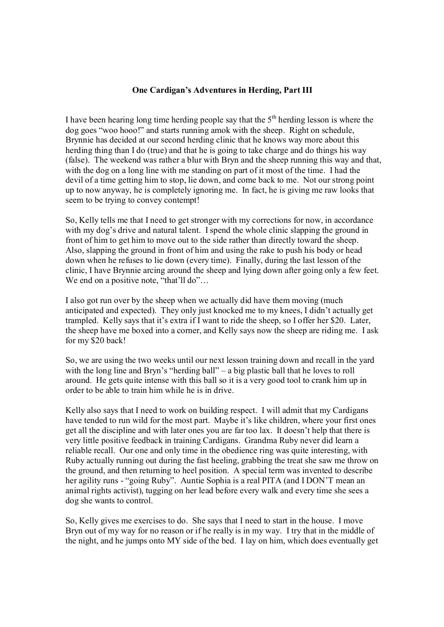## **One Cardigan's Adventures in Herding, Part III**

I have been hearing long time herding people say that the  $5<sup>th</sup>$  herding lesson is where the dog goes "woo hooo!" and starts running amok with the sheep. Right on schedule, Brynnie has decided at our second herding clinic that he knows way more about this herding thing than I do (true) and that he is going to take charge and do things his way (false). The weekend was rather a blur with Bryn and the sheep running this way and that, with the dog on a long line with me standing on part of it most of the time. I had the devil of a time getting him to stop, lie down, and come back to me. Not our strong point up to now anyway, he is completely ignoring me. In fact, he is giving me raw looks that seem to be trying to convey contempt!

So, Kelly tells me that I need to get stronger with my corrections for now, in accordance with my dog's drive and natural talent. I spend the whole clinic slapping the ground in front of him to get him to move out to the side rather than directly toward the sheep. Also, slapping the ground in front of him and using the rake to push his body or head down when he refuses to lie down (every time). Finally, during the last lesson of the clinic, I have Brynnie arcing around the sheep and lying down after going only a few feet. We end on a positive note, "that'll do"...

I also got run over by the sheep when we actually did have them moving (much anticipated and expected). They only just knocked me to my knees, I didn't actually get trampled. Kelly says that it's extra if I want to ride the sheep, so I offer her \$20. Later, the sheep have me boxed into a corner, and Kelly says now the sheep are riding me. I ask for my \$20 back!

So, we are using the two weeks until our next lesson training down and recall in the yard with the long line and Bryn's "herding ball" – a big plastic ball that he loves to roll around. He gets quite intense with this ball so it is a very good tool to crank him up in order to be able to train him while he is in drive.

Kelly also says that I need to work on building respect. I will admit that my Cardigans have tended to run wild for the most part. Maybe it's like children, where your first ones get all the discipline and with later ones you are far too lax. It doesn't help that there is very little positive feedback in training Cardigans. Grandma Ruby never did learn a reliable recall. Our one and only time in the obedience ring was quite interesting, with Ruby actually running out during the fast heeling, grabbing the treat she saw me throw on the ground, and then returning to heel position. A special term was invented to describe her agility runs - "going Ruby". Auntie Sophia is a real PITA (and I DON'T mean an animal rights activist), tugging on her lead before every walk and every time she sees a dog she wants to control.

So, Kelly gives me exercises to do. She says that I need to start in the house. I move Bryn out of my way for no reason or if he really is in my way. I try that in the middle of the night, and he jumps onto MY side of the bed. I lay on him, which does eventually get